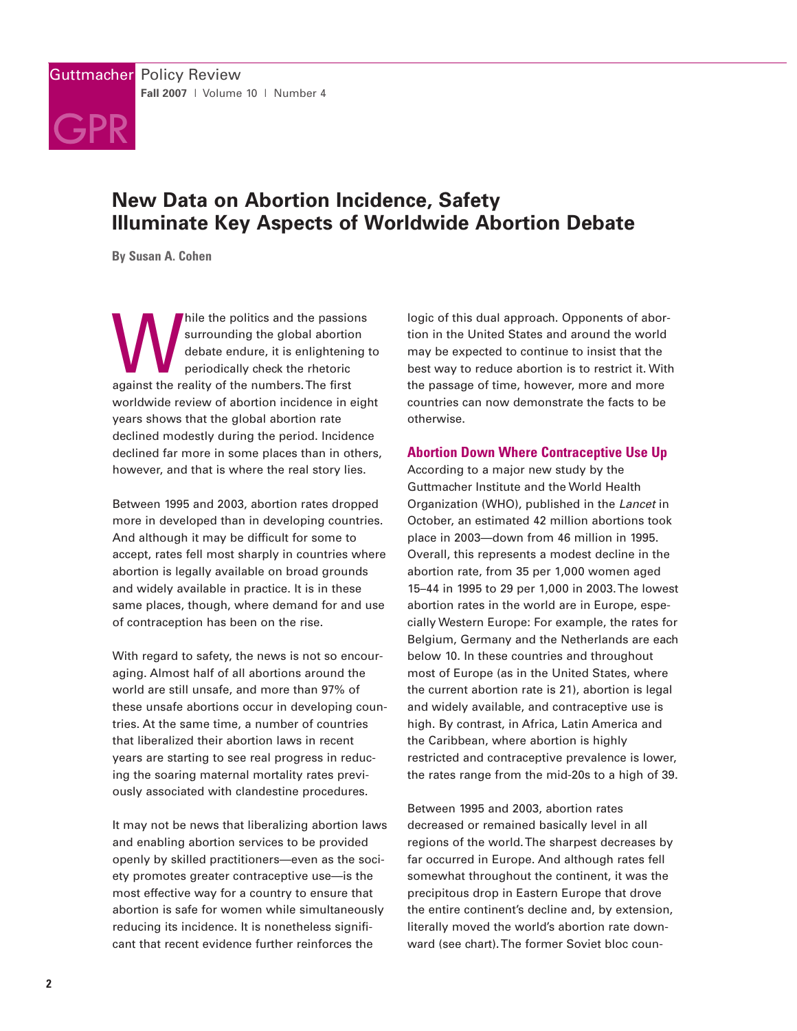

# **New Data on Abortion Incidence, Safety Illuminate Key Aspects of Worldwide Abortion Debate**

**By Susan A. Cohen**

hile the politics and the passions<br>surrounding the global abortion<br>debate endure, it is enlightening<br>periodically check the rhetoric<br>against the reality of the numbers. The first surrounding the global abortion debate endure, it is enlightening to periodically check the rhetoric worldwide review of abortion incidence in eight years shows that the global abortion rate declined modestly during the period. Incidence declined far more in some places than in others, however, and that is where the real story lies.

Between 1995 and 2003, abortion rates dropped more in developed than in developing countries. And although it may be difficult for some to accept, rates fell most sharply in countries where abortion is legally available on broad grounds and widely available in practice. It is in these same places, though, where demand for and use of contraception has been on the rise.

With regard to safety, the news is not so encouraging. Almost half of all abortions around the world are still unsafe, and more than 97% of these unsafe abortions occur in developing countries. At the same time, a number of countries that liberalized their abortion laws in recent years are starting to see real progress in reducing the soaring maternal mortality rates previously associated with clandestine procedures.

It may not be news that liberalizing abortion laws and enabling abortion services to be provided openly by skilled practitioners—even as the society promotes greater contraceptive use—is the most effective way for a country to ensure that abortion is safe for women while simultaneously reducing its incidence. It is nonetheless significant that recent evidence further reinforces the

logic of this dual approach. Opponents of abortion in the United States and around the world may be expected to continue to insist that the best way to reduce abortion is to restrict it. With the passage of time, however, more and more countries can now demonstrate the facts to be otherwise.

# **Abortion Down Where Contraceptive Use Up**

According to a major new study by the Guttmacher Institute and the World Health Organization (WHO), published in the Lancet in October, an estimated 42 million abortions took place in 2003—down from 46 million in 1995. Overall, this represents a modest decline in the abortion rate, from 35 per 1,000 women aged 15–44 in 1995 to 29 per 1,000 in 2003. The lowest abortion rates in the world are in Europe, especially Western Europe: For example, the rates for Belgium, Germany and the Netherlands are each below 10. In these countries and throughout most of Europe (as in the United States, where the current abortion rate is 21), abortion is legal and widely available, and contraceptive use is high. By contrast, in Africa, Latin America and the Caribbean, where abortion is highly restricted and contraceptive prevalence is lower, the rates range from the mid-20s to a high of 39.

Between 1995 and 2003, abortion rates decreased or remained basically level in all regions of the world. The sharpest decreases by far occurred in Europe. And although rates fell somewhat throughout the continent, it was the precipitous drop in Eastern Europe that drove the entire continent's decline and, by extension, literally moved the world's abortion rate downward (see chart). The former Soviet bloc coun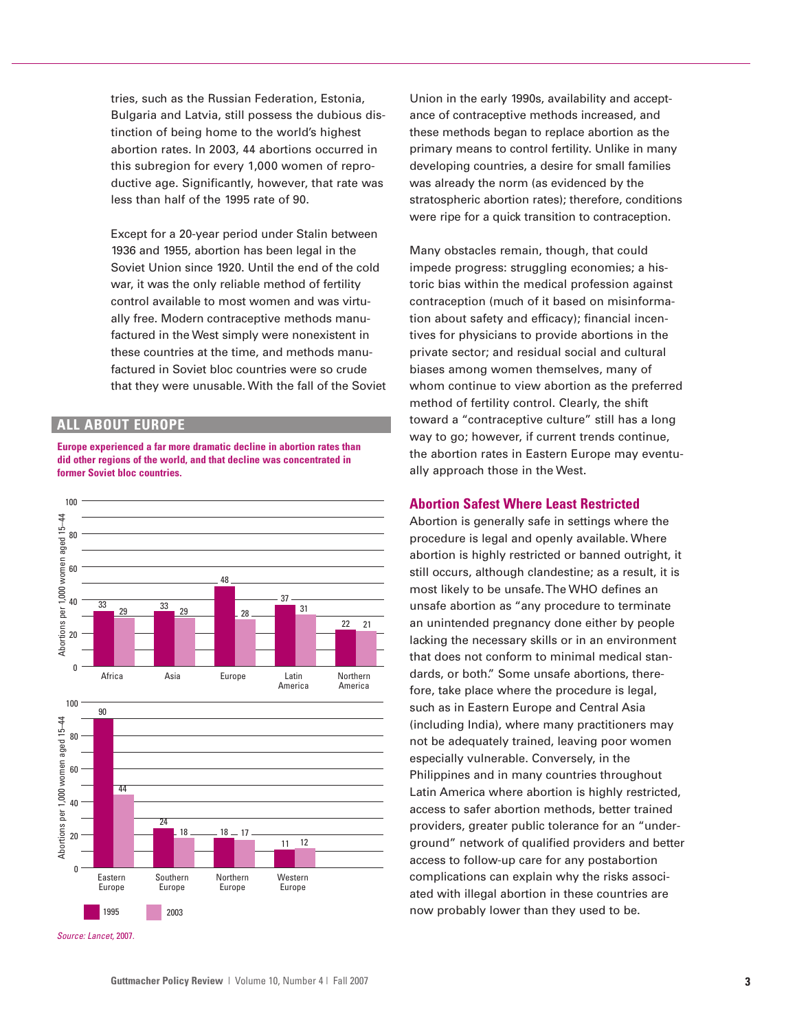tries, such as the Russian Federation, Estonia, Bulgaria and Latvia, still possess the dubious distinction of being home to the world's highest abortion rates. In 2003, 44 abortions occurred in this subregion for every 1,000 women of reproductive age. Significantly, however, that rate was less than half of the 1995 rate of 90.

Except for a 20-year period under Stalin between 1936 and 1955, abortion has been legal in the Soviet Union since 1920. Until the end of the cold war, it was the only reliable method of fertility control available to most women and was virtually free. Modern contraceptive methods manufactured in the West simply were nonexistent in these countries at the time, and methods manufactured in Soviet bloc countries were so crude that they were unusable. With the fall of the Soviet

### **ALL ABOUT EUROPE**

**Europe experienced a far more dramatic decline in abortion rates than did other regions of the world, and that decline was concentrated in former Soviet bloc countries.**



Source: Lancet, 2007.

Union in the early 1990s, availability and acceptance of contraceptive methods increased, and these methods began to replace abortion as the primary means to control fertility. Unlike in many developing countries, a desire for small families was already the norm (as evidenced by the stratospheric abortion rates); therefore, conditions were ripe for a quick transition to contraception.

Many obstacles remain, though, that could impede progress: struggling economies; a historic bias within the medical profession against contraception (much of it based on misinformation about safety and efficacy); financial incentives for physicians to provide abortions in the private sector; and residual social and cultural biases among women themselves, many of whom continue to view abortion as the preferred method of fertility control. Clearly, the shift toward a "contraceptive culture" still has a long way to go; however, if current trends continue, the abortion rates in Eastern Europe may eventually approach those in the West.

#### **Abortion Safest Where Least Restricted**

Abortion is generally safe in settings where the procedure is legal and openly available. Where abortion is highly restricted or banned outright, it still occurs, although clandestine; as a result, it is most likely to be unsafe. The WHO defines an unsafe abortion as "any procedure to terminate an unintended pregnancy done either by people lacking the necessary skills or in an environment that does not conform to minimal medical standards, or both." Some unsafe abortions, therefore, take place where the procedure is legal, such as in Eastern Europe and Central Asia (including India), where many practitioners may not be adequately trained, leaving poor women especially vulnerable. Conversely, in the Philippines and in many countries throughout Latin America where abortion is highly restricted, access to safer abortion methods, better trained providers, greater public tolerance for an "underground" network of qualified providers and better access to follow-up care for any postabortion complications can explain why the risks associated with illegal abortion in these countries are now probably lower than they used to be.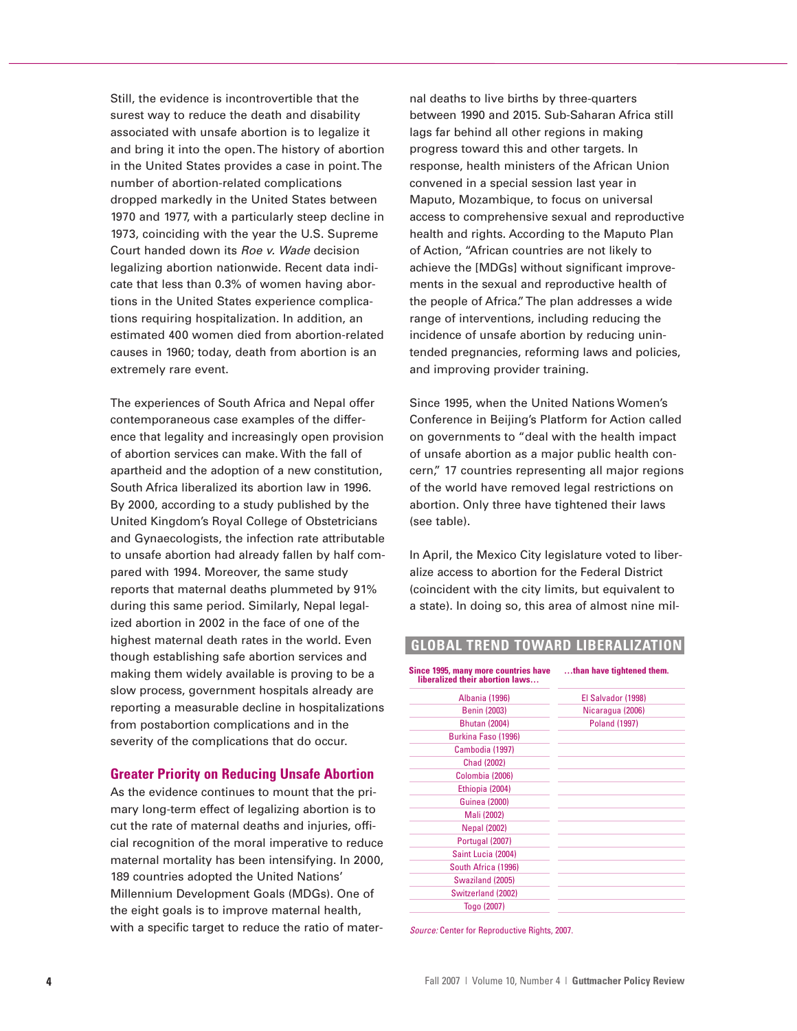Still, the evidence is incontrovertible that the surest way to reduce the death and disability associated with unsafe abortion is to legalize it and bring it into the open. The history of abortion in the United States provides a case in point. The number of abortion-related complications dropped markedly in the United States between 1970 and 1977, with a particularly steep decline in 1973, coinciding with the year the U.S. Supreme Court handed down its Roe v. Wade decision legalizing abortion nationwide. Recent data indicate that less than 0.3% of women having abortions in the United States experience complications requiring hospitalization. In addition, an estimated 400 women died from abortion-related causes in 1960; today, death from abortion is an extremely rare event.

The experiences of South Africa and Nepal offer contemporaneous case examples of the difference that legality and increasingly open provision of abortion services can make. With the fall of apartheid and the adoption of a new constitution, South Africa liberalized its abortion law in 1996. By 2000, according to a study published by the United Kingdom's Royal College of Obstetricians and Gynaecologists, the infection rate attributable to unsafe abortion had already fallen by half compared with 1994. Moreover, the same study reports that maternal deaths plummeted by 91% during this same period. Similarly, Nepal legalized abortion in 2002 in the face of one of the highest maternal death rates in the world. Even though establishing safe abortion services and making them widely available is proving to be a slow process, government hospitals already are reporting a measurable decline in hospitalizations from postabortion complications and in the severity of the complications that do occur.

## **Greater Priority on Reducing Unsafe Abortion**

As the evidence continues to mount that the primary long-term effect of legalizing abortion is to cut the rate of maternal deaths and injuries, official recognition of the moral imperative to reduce maternal mortality has been intensifying. In 2000, 189 countries adopted the United Nations' Millennium Development Goals (MDGs). One of the eight goals is to improve maternal health, with a specific target to reduce the ratio of maternal deaths to live births by three-quarters between 1990 and 2015. Sub-Saharan Africa still lags far behind all other regions in making progress toward this and other targets. In response, health ministers of the African Union convened in a special session last year in Maputo, Mozambique, to focus on universal access to comprehensive sexual and reproductive health and rights. According to the Maputo Plan of Action, "African countries are not likely to achieve the [MDGs] without significant improvements in the sexual and reproductive health of the people of Africa." The plan addresses a wide range of interventions, including reducing the incidence of unsafe abortion by reducing unintended pregnancies, reforming laws and policies, and improving provider training.

Since 1995, when the United Nations Women's Conference in Beijing's Platform for Action called on governments to "deal with the health impact of unsafe abortion as a major public health concern," 17 countries representing all major regions of the world have removed legal restrictions on abortion. Only three have tightened their laws (see table).

In April, the Mexico City legislature voted to liberalize access to abortion for the Federal District (coincident with the city limits, but equivalent to a state). In doing so, this area of almost nine mil-

# **GLOBAL TREND TOWARD LIBERALIZATION**

Since 1995, many more countries have **charge 1995**, many more countries have **charging** them. Albania (1996) El Salvador (1998) Benin (2003) Nicaragua (2006) Bhutan (2004) Poland (1997) Burkina Faso (1996) Cambodia (1997) Chad (2002) Colombia (2006) Ethiopia (2004) Guinea (2000) Mali (2002) Nepal (2002) Portugal (2007) Saint Lucia (2004) South Africa (1996) Swaziland (2005) Switzerland (2002) Togo (2007) **liberalized their abortion laws…**

Source: Center for Reproductive Rights, 2007.